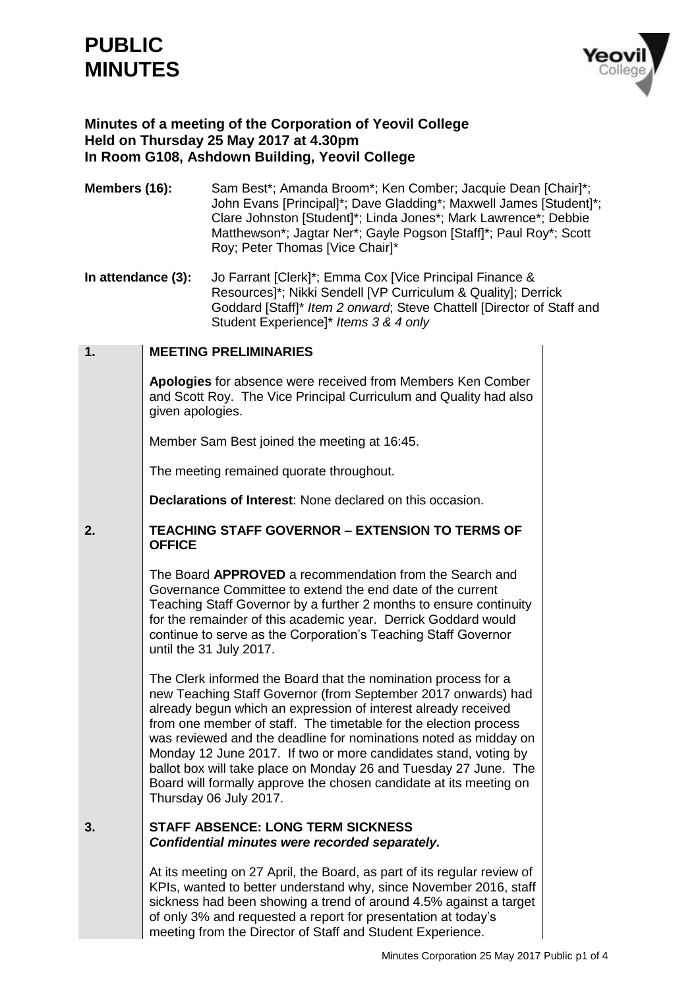# **PUBLIC MINUTES**



# **Minutes of a meeting of the Corporation of Yeovil College Held on Thursday 25 May 2017 at 4.30pm In Room G108, Ashdown Building, Yeovil College**

- **Members (16):** Sam Best\*; Amanda Broom\*; Ken Comber; Jacquie Dean [Chair]\*; John Evans [Principal]\*; Dave Gladding\*; Maxwell James [Student]\*; Clare Johnston [Student]\*; Linda Jones\*; Mark Lawrence\*; Debbie Matthewson\*; Jagtar Ner\*; Gayle Pogson [Staff]\*; Paul Roy\*; Scott Roy; Peter Thomas [Vice Chair]\*
- **In attendance (3):** Jo Farrant [Clerk]\*; Emma Cox [Vice Principal Finance & Resources]\*; Nikki Sendell [VP Curriculum & Quality]; Derrick Goddard [Staff]\* *Item 2 onward*; Steve Chattell [Director of Staff and Student Experience]\* *Items 3 & 4 only*

#### **1. MEETING PRELIMINARIES**

**Apologies** for absence were received from Members Ken Comber and Scott Roy. The Vice Principal Curriculum and Quality had also given apologies.

Member Sam Best joined the meeting at 16:45.

The meeting remained quorate throughout.

**Declarations of Interest**: None declared on this occasion.

#### **2. TEACHING STAFF GOVERNOR – EXTENSION TO TERMS OF OFFICE**

The Board **APPROVED** a recommendation from the Search and Governance Committee to extend the end date of the current Teaching Staff Governor by a further 2 months to ensure continuity for the remainder of this academic year. Derrick Goddard would continue to serve as the Corporation's Teaching Staff Governor until the 31 July 2017.

The Clerk informed the Board that the nomination process for a new Teaching Staff Governor (from September 2017 onwards) had already begun which an expression of interest already received from one member of staff. The timetable for the election process was reviewed and the deadline for nominations noted as midday on Monday 12 June 2017. If two or more candidates stand, voting by ballot box will take place on Monday 26 and Tuesday 27 June. The Board will formally approve the chosen candidate at its meeting on Thursday 06 July 2017.

#### **3. STAFF ABSENCE: LONG TERM SICKNESS** *Confidential minutes were recorded separately.*

At its meeting on 27 April, the Board, as part of its regular review of KPIs, wanted to better understand why, since November 2016, staff sickness had been showing a trend of around 4.5% against a target of only 3% and requested a report for presentation at today's meeting from the Director of Staff and Student Experience.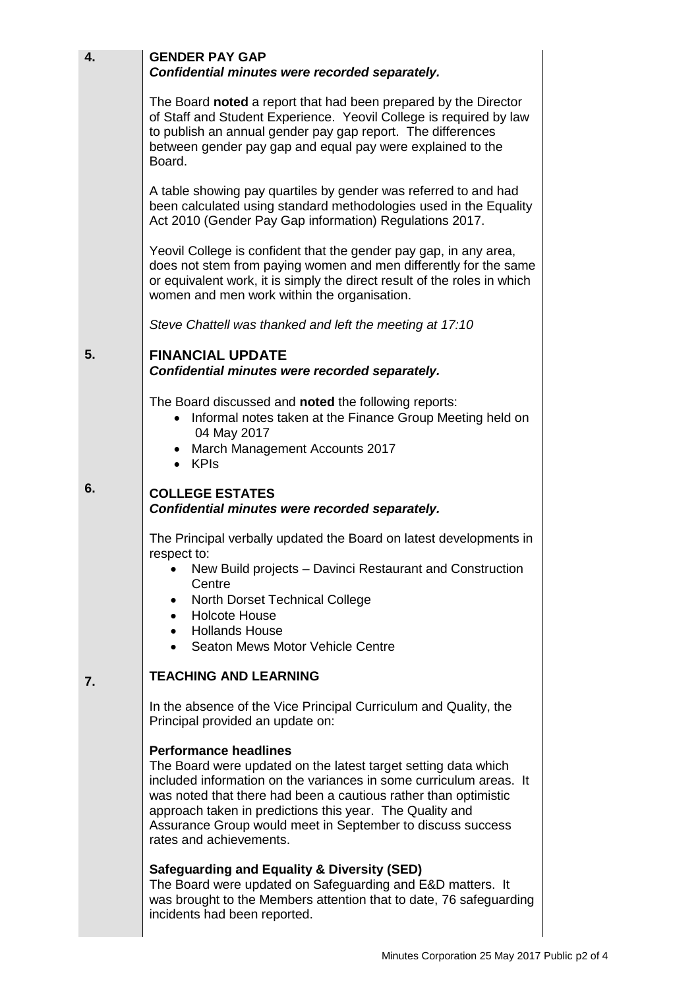| 4. | <b>GENDER PAY GAP</b><br>Confidential minutes were recorded separately.                                                                                                                                                                                                                                                                                                                      |  |
|----|----------------------------------------------------------------------------------------------------------------------------------------------------------------------------------------------------------------------------------------------------------------------------------------------------------------------------------------------------------------------------------------------|--|
|    | The Board noted a report that had been prepared by the Director<br>of Staff and Student Experience. Yeovil College is required by law<br>to publish an annual gender pay gap report. The differences<br>between gender pay gap and equal pay were explained to the<br>Board.                                                                                                                 |  |
|    | A table showing pay quartiles by gender was referred to and had<br>been calculated using standard methodologies used in the Equality<br>Act 2010 (Gender Pay Gap information) Regulations 2017.                                                                                                                                                                                              |  |
|    | Yeovil College is confident that the gender pay gap, in any area,<br>does not stem from paying women and men differently for the same<br>or equivalent work, it is simply the direct result of the roles in which<br>women and men work within the organisation.                                                                                                                             |  |
|    | Steve Chattell was thanked and left the meeting at 17:10                                                                                                                                                                                                                                                                                                                                     |  |
| 5. | <b>FINANCIAL UPDATE</b><br>Confidential minutes were recorded separately.                                                                                                                                                                                                                                                                                                                    |  |
|    | The Board discussed and <b>noted</b> the following reports:<br>• Informal notes taken at the Finance Group Meeting held on<br>04 May 2017<br>• March Management Accounts 2017                                                                                                                                                                                                                |  |
| 6. | • KPIs                                                                                                                                                                                                                                                                                                                                                                                       |  |
|    | <b>COLLEGE ESTATES</b><br>Confidential minutes were recorded separately.                                                                                                                                                                                                                                                                                                                     |  |
|    | The Principal verbally updated the Board on latest developments in<br>respect to:                                                                                                                                                                                                                                                                                                            |  |
|    | New Build projects - Davinci Restaurant and Construction<br>Centre                                                                                                                                                                                                                                                                                                                           |  |
|    | North Dorset Technical College<br><b>Holcote House</b>                                                                                                                                                                                                                                                                                                                                       |  |
|    | <b>Hollands House</b><br>Seaton Mews Motor Vehicle Centre                                                                                                                                                                                                                                                                                                                                    |  |
| 7. | <b>TEACHING AND LEARNING</b>                                                                                                                                                                                                                                                                                                                                                                 |  |
|    | In the absence of the Vice Principal Curriculum and Quality, the<br>Principal provided an update on:                                                                                                                                                                                                                                                                                         |  |
|    | <b>Performance headlines</b><br>The Board were updated on the latest target setting data which<br>included information on the variances in some curriculum areas. It<br>was noted that there had been a cautious rather than optimistic<br>approach taken in predictions this year. The Quality and<br>Assurance Group would meet in September to discuss success<br>rates and achievements. |  |
|    | Safeguarding and Equality & Diversity (SED)<br>The Board were updated on Safeguarding and E&D matters. It<br>was brought to the Members attention that to date, 76 safeguarding<br>incidents had been reported.                                                                                                                                                                              |  |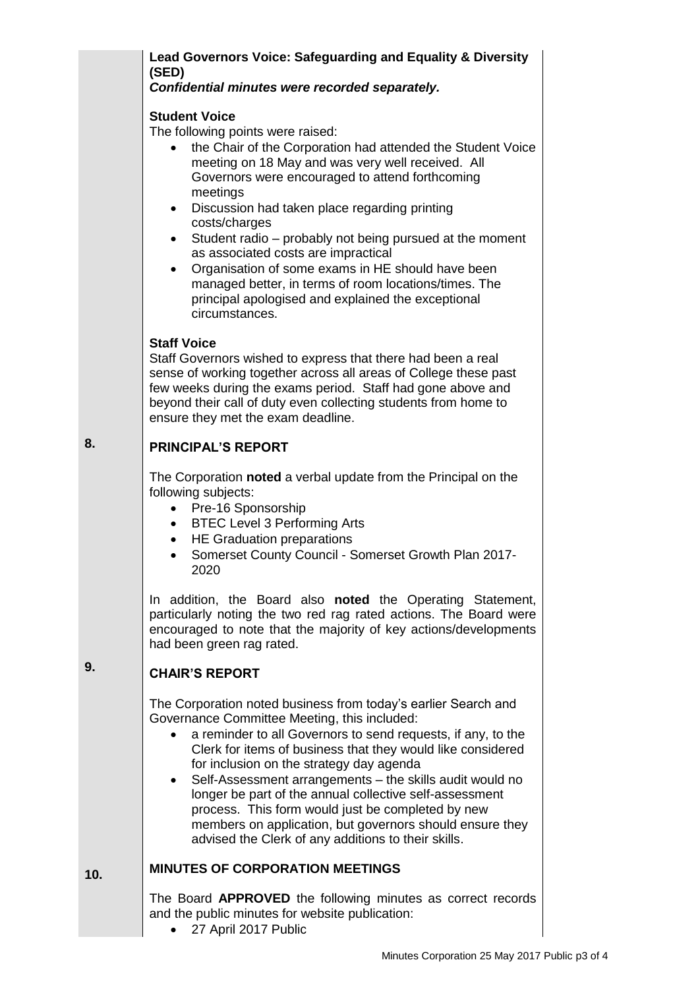# **Lead Governors Voice: Safeguarding and Equality & Diversity (SED)**

### *Confidential minutes were recorded separately.*

## **Student Voice**

The following points were raised:

- the Chair of the Corporation had attended the Student Voice meeting on 18 May and was very well received. All Governors were encouraged to attend forthcoming meetings
- Discussion had taken place regarding printing costs/charges
- Student radio probably not being pursued at the moment as associated costs are impractical
- Organisation of some exams in HE should have been managed better, in terms of room locations/times. The principal apologised and explained the exceptional circumstances.

### **Staff Voice**

Staff Governors wished to express that there had been a real sense of working together across all areas of College these past few weeks during the exams period. Staff had gone above and beyond their call of duty even collecting students from home to ensure they met the exam deadline.

#### **8. PRINCIPAL'S REPORT**

The Corporation **noted** a verbal update from the Principal on the following subjects:

- Pre-16 Sponsorship
- BTEC Level 3 Performing Arts
- HE Graduation preparations
- Somerset County Council Somerset Growth Plan 2017- 2020

In addition, the Board also **noted** the Operating Statement, particularly noting the two red rag rated actions. The Board were encouraged to note that the majority of key actions/developments had been green rag rated.

#### **9. CHAIR'S REPORT**

The Corporation noted business from today's earlier Search and Governance Committee Meeting, this included:

- a reminder to all Governors to send requests, if any, to the Clerk for items of business that they would like considered for inclusion on the strategy day agenda
- Self-Assessment arrangements the skills audit would no longer be part of the annual collective self-assessment process. This form would just be completed by new members on application, but governors should ensure they advised the Clerk of any additions to their skills.

#### **10. MINUTES OF CORPORATION MEETINGS**

The Board **APPROVED** the following minutes as correct records and the public minutes for website publication:

• 27 April 2017 Public